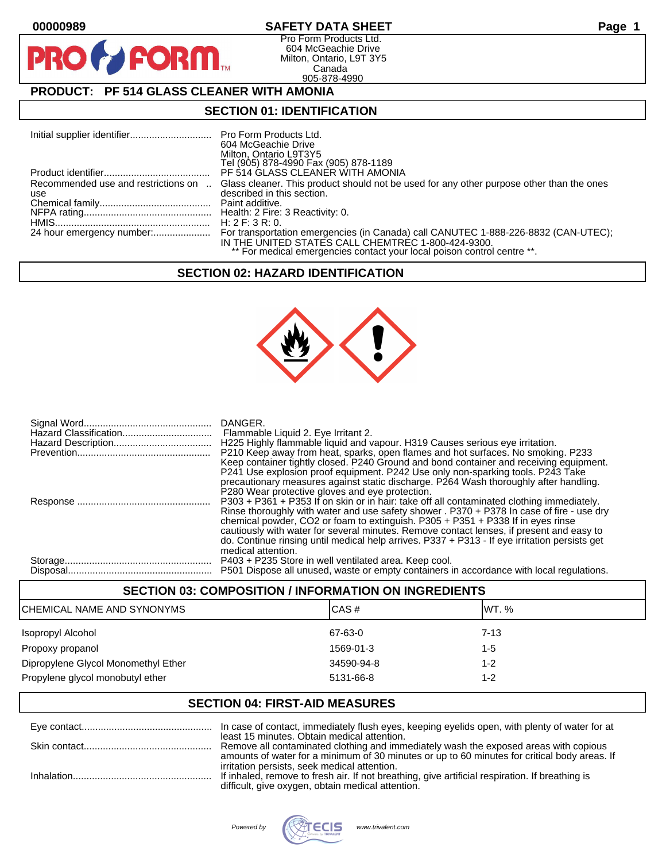$\mathbf O$ 

PR

# **00000989 SAFETY DATA SHEET Page 1**

Pro Form Products Ltd. 604 McGeachie Drive Milton, Ontario, L9T 3Y5 Canada 905-878-4990

# **PRODUCT: PF 514 GLASS CLEANER WITH AMONIA**

**FORM** 

## **SECTION 01: IDENTIFICATION**

|                                            | 604 McGeachie Drive<br>Milton, Ontario L9T3Y5<br>Tel (905) 878-4990 Fax (905) 878-1189                                        |
|--------------------------------------------|-------------------------------------------------------------------------------------------------------------------------------|
|                                            | PF 514 GLASS CLEANER WITH AMONIA                                                                                              |
| Recommended use and restrictions on<br>use | Glass cleaner. This product should not be used for any other purpose other than the ones<br>described in this section.        |
|                                            |                                                                                                                               |
|                                            | H: 2 F: 3 R: 0.                                                                                                               |
|                                            | IN THE UNITED STATES CALL CHEMTREC 1-800-424-9300.<br>** For medical emergencies contact your local poison control centre **. |

## **SECTION 02: HAZARD IDENTIFICATION**



| DANGER.<br>Flammable Liquid 2. Eye Irritant 2.<br>H225 Highly flammable liquid and vapour. H319 Causes serious eye irritation.<br>P210 Keep away from heat, sparks, open flames and hot surfaces. No smoking. P233<br>Keep container tightly closed. P240 Ground and bond container and receiving equipment.<br>P241 Use explosion proof equipment. P242 Use only non-sparking tools. P243 Take<br>precautionary measures against static discharge. P264 Wash thoroughly after handling.<br>P280 Wear protective gloves and eye protection.           |
|-------------------------------------------------------------------------------------------------------------------------------------------------------------------------------------------------------------------------------------------------------------------------------------------------------------------------------------------------------------------------------------------------------------------------------------------------------------------------------------------------------------------------------------------------------|
| P303 + P361 + P353 If on skin or in hair: take off all contaminated clothing immediately.<br>Rinse thoroughly with water and use safety shower . P370 + P378 In case of fire - use dry<br>chemical powder, CO2 or foam to extinguish. P305 + P351 + P338 If in eyes rinse<br>cautiously with water for several minutes. Remove contact lenses, if present and easy to<br>do. Continue rinsing until medical help arrives. P337 + P313 - If eye irritation persists get<br>medical attention.<br>P403 + P235 Store in well ventilated area. Keep cool. |
| P501 Dispose all unused, waste or empty containers in accordance with local regulations.                                                                                                                                                                                                                                                                                                                                                                                                                                                              |

## **SECTION 03: COMPOSITION / INFORMATION ON INGREDIENTS**

| ICHEMICAL NAME AND SYNONYMS         | ICAS#      | IWT. %   |
|-------------------------------------|------------|----------|
| Isopropyl Alcohol                   | 67-63-0    | $7 - 13$ |
| Propoxy propanol                    | 1569-01-3  | $1 - 5$  |
| Dipropylene Glycol Monomethyl Ether | 34590-94-8 | $1 - 2$  |
| Propylene glycol monobutyl ether    | 5131-66-8  | $1 - 2$  |

### **SECTION 04: FIRST-AID MEASURES**

| least 15 minutes. Obtain medical attention.                                                                                                          |
|------------------------------------------------------------------------------------------------------------------------------------------------------|
|                                                                                                                                                      |
| amounts of water for a minimum of 30 minutes or up to 60 minutes for critical body areas. If<br>irritation persists, seek medical attention.         |
| If inhaled, remove to fresh air. If not breathing, give artificial respiration. If breathing is<br>difficult, give oxygen, obtain medical attention. |

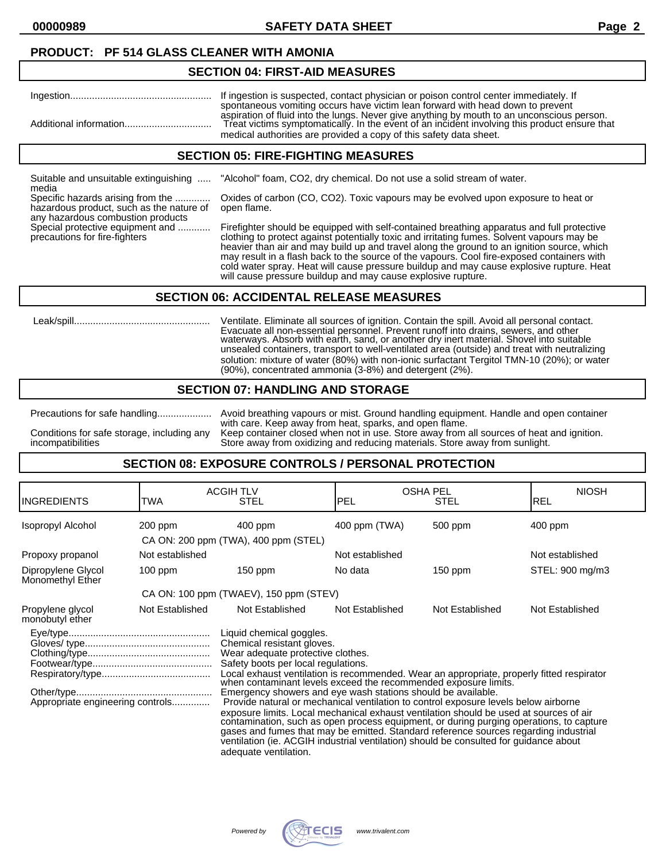**00000989 SAFETY DATA SHEET Page 2**

### **PRODUCT: PF 514 GLASS CLEANER WITH AMONIA**

#### **SECTION 04: FIRST-AID MEASURES**

| If ingestion is suspected, contact physician or poison control center immediately. If<br>spontaneous vomiting occurs have victim lean forward with head down to prevent                                                                                           |
|-------------------------------------------------------------------------------------------------------------------------------------------------------------------------------------------------------------------------------------------------------------------|
| aspiration of fluid into the lungs. Never give anything by mouth to an unconscious person.<br>Treat victims symptomatically. In the event of an incident involving this product ensure that<br>medical authorities are provided a copy of this safety data sheet. |

#### **SECTION 05: FIRE-FIGHTING MEASURES**

media

Suitable and unsuitable extinguishing ..... "Alcohol" foam, CO2, dry chemical. Do not use a solid stream of water.

hazardous product, such as the nature of open flame. any hazardous combustion products<br>Special protective equipment and ............

Specific hazards arising from the ............. Oxides of carbon (CO, CO2). Toxic vapours may be evolved upon exposure to heat or

Firefighter should be equipped with self-contained breathing apparatus and full protective precautions for fire-fighters clothing to protect against potentially toxic and irritating fumes. Solvent vapours may be heavier than air and may build up and travel along the ground to an ignition source, which may result in a flash back to the source of the vapours. Cool fire-exposed containers with cold water spray. Heat will cause pressure buildup and may cause explosive rupture. Heat will cause pressure buildup and may cause explosive rupture.

### **SECTION 06: ACCIDENTAL RELEASE MEASURES**

 Leak/spill.................................................. Ventilate. Eliminate all sources of ignition. Contain the spill. Avoid all personal contact. Evacuate all non-essential personnel. Prevent runoff into drains, sewers, and other waterways. Absorb with earth, sand, or another dry inert material. Shovel into suitable unsealed containers, transport to well-ventilated area (outside) and treat with neutralizing solution: mixture of water (80%) with non-ionic surfactant Tergitol TMN-10 (20%); or water (90%), concentrated ammonia (3-8%) and detergent (2%).

### **SECTION 07: HANDLING AND STORAGE**

Precautions for safe handling.................... Avoid breathing vapours or mist. Ground handling equipment. Handle and open container with care. Keep away from heat, sparks, and open flame. Conditions for safe storage, including any Keep container closed when not in use. Store away from all sources of heat and ignition.<br>incompatibilities bures way fore away from oxidizing and reducing materials. Store away fr Store away from oxidizing and reducing materials. Store away from sunlight.

## **SECTION 08: EXPOSURE CONTROLS / PERSONAL PROTECTION**

| <b>INGREDIENTS</b>                                                                                                                                                                                                                                                                                                                                                                                                                                                                                                                                                                                                                                                                                                                                                                                                                                                  | TWA             | <b>ACGIH TLV</b><br><b>STEL</b>        | <b>OSHA PEL</b><br>PEL | STEL            | <b>NIOSH</b><br>REL |
|---------------------------------------------------------------------------------------------------------------------------------------------------------------------------------------------------------------------------------------------------------------------------------------------------------------------------------------------------------------------------------------------------------------------------------------------------------------------------------------------------------------------------------------------------------------------------------------------------------------------------------------------------------------------------------------------------------------------------------------------------------------------------------------------------------------------------------------------------------------------|-----------------|----------------------------------------|------------------------|-----------------|---------------------|
| Isopropyl Alcohol                                                                                                                                                                                                                                                                                                                                                                                                                                                                                                                                                                                                                                                                                                                                                                                                                                                   | 200 ppm         | $400$ ppm                              | 400 ppm (TWA)          | 500 ppm         | $400$ ppm           |
|                                                                                                                                                                                                                                                                                                                                                                                                                                                                                                                                                                                                                                                                                                                                                                                                                                                                     |                 | CA ON: 200 ppm (TWA), 400 ppm (STEL)   |                        |                 |                     |
| Propoxy propanol                                                                                                                                                                                                                                                                                                                                                                                                                                                                                                                                                                                                                                                                                                                                                                                                                                                    | Not established |                                        | Not established        |                 | Not established     |
| Dipropylene Glycol<br>Monomethyl Ether                                                                                                                                                                                                                                                                                                                                                                                                                                                                                                                                                                                                                                                                                                                                                                                                                              | $100$ ppm       | $150$ ppm                              | No data                | $150$ ppm       | STEL: 900 mg/m3     |
|                                                                                                                                                                                                                                                                                                                                                                                                                                                                                                                                                                                                                                                                                                                                                                                                                                                                     |                 | CA ON: 100 ppm (TWAEV), 150 ppm (STEV) |                        |                 |                     |
| Propylene glycol<br>monobutyl ether                                                                                                                                                                                                                                                                                                                                                                                                                                                                                                                                                                                                                                                                                                                                                                                                                                 | Not Established | Not Established                        | Not Established        | Not Established | Not Established     |
| Liquid chemical goggles.<br>Chemical resistant gloves.<br>Wear adequate protective clothes.<br>Safety boots per local regulations.<br>Local exhaust ventilation is recommended. Wear an appropriate, properly fitted respirator<br>when contaminant levels exceed the recommended exposure limits.<br>Emergency showers and eye wash stations should be available.<br>Appropriate engineering controls<br>Provide natural or mechanical ventilation to control exposure levels below airborne<br>exposure limits. Local mechanical exhaust ventilation should be used at sources of air<br>contamination, such as open process equipment, or during purging operations, to capture<br>gases and fumes that may be emitted. Standard reference sources regarding industrial<br>ventilation (ie. ACGIH industrial ventilation) should be consulted for guidance about |                 |                                        |                        |                 |                     |

adequate ventilation.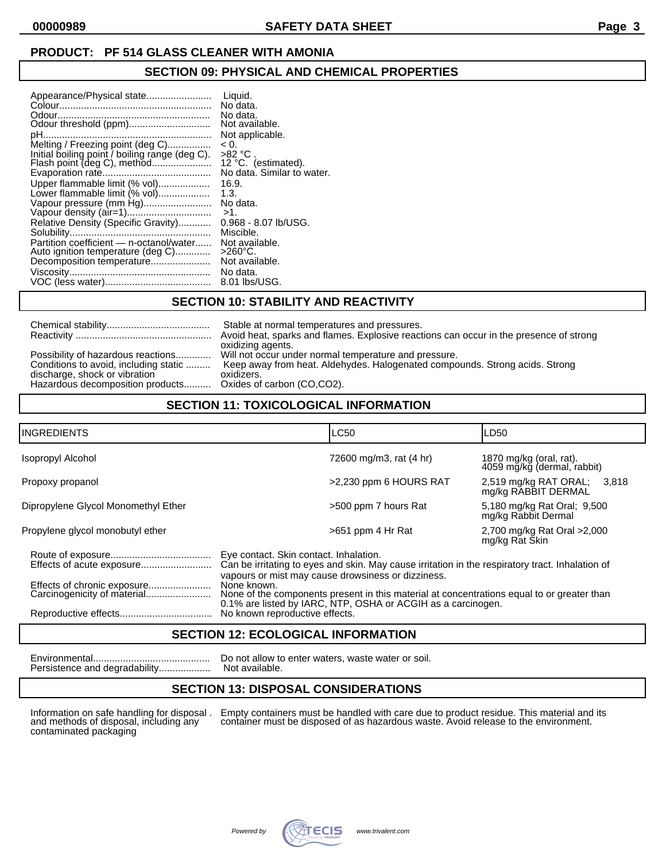# **PRODUCT: PF 514 GLASS CLEANER WITH AMONIA**

# **SECTION 09: PHYSICAL AND CHEMICAL PROPERTIES**

| Appearance/Physical state                                                                                                | Liquid.                                         |
|--------------------------------------------------------------------------------------------------------------------------|-------------------------------------------------|
|                                                                                                                          | No data.                                        |
|                                                                                                                          | No data.                                        |
|                                                                                                                          | Not available.                                  |
|                                                                                                                          | Not applicable.                                 |
| Melting / Freezing point (deg C)                                                                                         | < 0.                                            |
| Initial boiling point / boiling range (deg C).                                                                           | >82 °C                                          |
|                                                                                                                          | No data. Similar to water.                      |
| Upper flammable limit (% vol)<br>Lower flammable limit (% vol)<br>Vapour pressure (mm Hg)                                | 16.9.<br>1.3.<br>No data.<br>$>1$ .             |
| Relative Density (Specific Gravity)                                                                                      | $0.968 - 8.07$ lb/USG.                          |
|                                                                                                                          | Miscible.                                       |
| Partition coefficient - n-octanol/water Not available.<br>Auto ignition temperature (deg C)<br>Decomposition temperature | $>260^{\circ}$ C.<br>Not available.<br>No data. |

# **SECTION 10: STABILITY AND REACTIVITY**

|                                       | Stable at normal temperatures and pressures.                                           |
|---------------------------------------|----------------------------------------------------------------------------------------|
|                                       | Avoid heat, sparks and flames. Explosive reactions can occur in the presence of strong |
|                                       | oxidizing agents.                                                                      |
| Possibility of hazardous reactions    | Will not occur under normal temperature and pressure.                                  |
| Conditions to avoid, including static | Keep away from heat. Aldehydes. Halogenated compounds. Strong acids. Strong            |
| discharge, shock or vibration         | oxidizers.                                                                             |
| Hazardous decomposition products      | Oxides of carbon (CO,CO2).                                                             |

# **SECTION 11: TOXICOLOGICAL INFORMATION**

| <b>INGREDIENTS</b>                  |                                                                                                                                                                                                                                                                                                                                                                               | <b>LC50</b>             | LD50                                                   |
|-------------------------------------|-------------------------------------------------------------------------------------------------------------------------------------------------------------------------------------------------------------------------------------------------------------------------------------------------------------------------------------------------------------------------------|-------------------------|--------------------------------------------------------|
| Isopropyl Alcohol                   |                                                                                                                                                                                                                                                                                                                                                                               | 72600 mg/m3, rat (4 hr) | 1870 mg/kg (oral, rat).<br>4059 mg/kg (dermal, rabbit) |
| Propoxy propanol                    |                                                                                                                                                                                                                                                                                                                                                                               | >2,230 ppm 6 HOURS RAT  | 2,519 mg/kg RAT ORAL;<br>3.818<br>mg/kg RABBIT DERMAL  |
| Dipropylene Glycol Monomethyl Ether |                                                                                                                                                                                                                                                                                                                                                                               | >500 ppm 7 hours Rat    | 5,180 mg/kg Rat Oral; 9,500<br>mg/kg Rabbit Dermal     |
| Propylene glycol monobutyl ether    |                                                                                                                                                                                                                                                                                                                                                                               | $>651$ ppm 4 Hr Rat     | 2,700 mg/kg Rat Oral > 2,000<br>mg/kg Rat Škin         |
| Effects of chronic exposure         | Eye contact. Skin contact. Inhalation.<br>Can be irritating to eyes and skin. May cause irritation in the respiratory tract. Inhalation of<br>vapours or mist may cause drowsiness or dizziness.<br>None known.<br>None of the components present in this material at concentrations equal to or greater than<br>0.1% are listed by IARC, NTP, OSHA or ACGIH as a carcinogen. |                         |                                                        |
|                                     | No known reproductive effects.                                                                                                                                                                                                                                                                                                                                                |                         |                                                        |

# **SECTION 12: ECOLOGICAL INFORMATION**

Do not allow to enter waters, waste water or soil. Persistence and degradability................... Not available.

# **SECTION 13: DISPOSAL CONSIDERATIONS**

Information on safe handling for disposal .<br>and methods of disposal, including any<br>contaminated packaging

Information on safe handling for disposal . Empty containers must be handled with care due to product residue. This material and its and methods of disposal, including any container must be disposed of as hazardous waste. Avoid release to the environment.